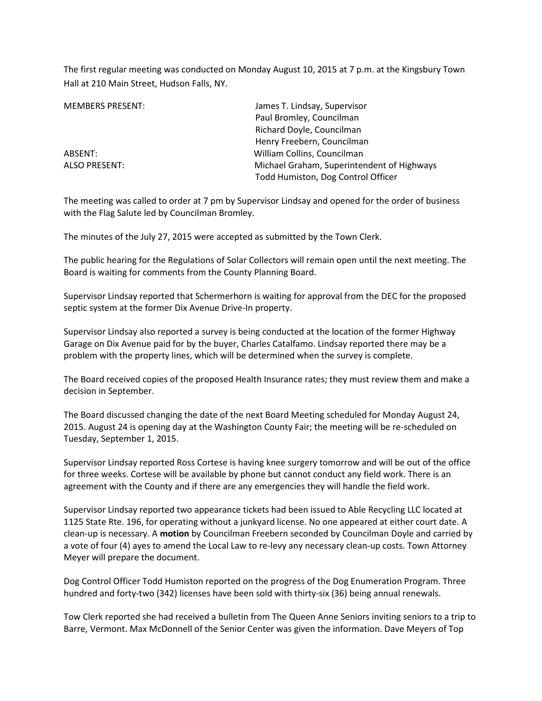The first regular meeting was conducted on Monday August 10, 2015 at 7 p.m. at the Kingsbury Town Hall at 210 Main Street, Hudson Falls, NY.

| <b>MEMBERS PRESENT:</b> | James T. Lindsay, Supervisor               |
|-------------------------|--------------------------------------------|
|                         | Paul Bromley, Councilman                   |
|                         | Richard Doyle, Councilman                  |
|                         | Henry Freebern, Councilman                 |
| ABSENT:                 | William Collins, Councilman                |
| <b>ALSO PRESENT:</b>    | Michael Graham, Superintendent of Highways |
|                         | Todd Humiston, Dog Control Officer         |

The meeting was called to order at 7 pm by Supervisor Lindsay and opened for the order of business with the Flag Salute led by Councilman Bromley.

The minutes of the July 27, 2015 were accepted as submitted by the Town Clerk.

The public hearing for the Regulations of Solar Collectors will remain open until the next meeting. The Board is waiting for comments from the County Planning Board.

Supervisor Lindsay reported that Schermerhorn is waiting for approval from the DEC for the proposed septic system at the former Dix Avenue Drive-In property.

Supervisor Lindsay also reported a survey is being conducted at the location of the former Highway Garage on Dix Avenue paid for by the buyer, Charles Catalfamo. Lindsay reported there may be a problem with the property lines, which will be determined when the survey is complete.

The Board received copies of the proposed Health Insurance rates; they must review them and make a decision in September.

The Board discussed changing the date of the next Board Meeting scheduled for Monday August 24, 2015. August 24 is opening day at the Washington County Fair; the meeting will be re-scheduled on Tuesday, September 1, 2015.

Supervisor Lindsay reported Ross Cortese is having knee surgery tomorrow and will be out of the office for three weeks. Cortese will be available by phone but cannot conduct any field work. There is an agreement with the County and if there are any emergencies they will handle the field work.

Supervisor Lindsay reported two appearance tickets had been issued to Able Recycling LLC located at 1125 State Rte. 196, for operating without a junkyard license. No one appeared at either court date. A clean-up is necessary. A **motion** by Councilman Freebern seconded by Councilman Doyle and carried by a vote of four (4) ayes to amend the Local Law to re-levy any necessary clean-up costs. Town Attorney Meyer will prepare the document.

Dog Control Officer Todd Humiston reported on the progress of the Dog Enumeration Program. Three hundred and forty-two (342) licenses have been sold with thirty-six (36) being annual renewals.

Tow Clerk reported she had received a bulletin from The Queen Anne Seniors inviting seniors to a trip to Barre, Vermont. Max McDonnell of the Senior Center was given the information. Dave Meyers of Top